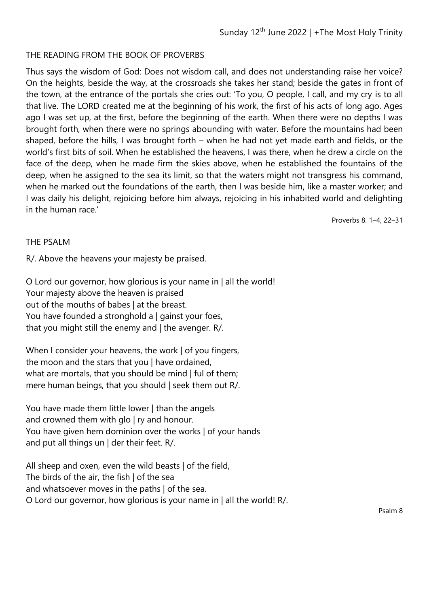## THE READING FROM THE BOOK OF PROVERBS

Thus says the wisdom of God: Does not wisdom call, and does not understanding raise her voice? On the heights, beside the way, at the crossroads she takes her stand; beside the gates in front of the town, at the entrance of the portals she cries out: 'To you, O people, I call, and my cry is to all that live. The LORD created me at the beginning of his work, the first of his acts of long ago. Ages ago I was set up, at the first, before the beginning of the earth. When there were no depths I was brought forth, when there were no springs abounding with water. Before the mountains had been shaped, before the hills, I was brought forth – when he had not yet made earth and fields, or the world's first bits of soil. When he established the heavens, I was there, when he drew a circle on the face of the deep, when he made firm the skies above, when he established the fountains of the deep, when he assigned to the sea its limit, so that the waters might not transgress his command, when he marked out the foundations of the earth, then I was beside him, like a master worker; and I was daily his delight, rejoicing before him always, rejoicing in his inhabited world and delighting in the human race.'

Proverbs 8. 1–4, 22–31

## THE PSALM

R/. Above the heavens your majesty be praised.

O Lord our governor, how glorious is your name in | all the world! Your majesty above the heaven is praised out of the mouths of babes | at the breast. You have founded a stronghold a | gainst your foes, that you might still the enemy and | the avenger. R/.

When I consider your heavens, the work | of you fingers, the moon and the stars that you | have ordained, what are mortals, that you should be mind | ful of them; mere human beings, that you should | seek them out R/.

You have made them little lower | than the angels and crowned them with glo | ry and honour. You have given hem dominion over the works | of your hands and put all things un | der their feet. R/.

All sheep and oxen, even the wild beasts | of the field, The birds of the air, the fish | of the sea and whatsoever moves in the paths | of the sea. O Lord our governor, how glorious is your name in | all the world! R/.